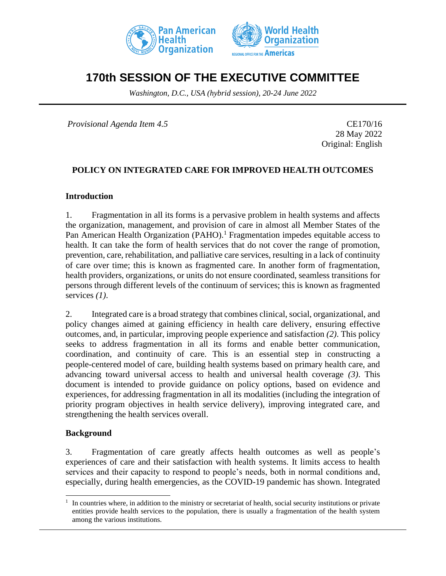



# **170th SESSION OF THE EXECUTIVE COMMITTEE**

*Washington, D.C., USA (hybrid session), 20-24 June 2022*

*Provisional Agenda Item 4.5* CE170/16

28 May 2022 Original: English

## **POLICY ON INTEGRATED CARE FOR IMPROVED HEALTH OUTCOMES**

#### **Introduction**

1. Fragmentation in all its forms is a pervasive problem in health systems and affects the organization, management, and provision of care in almost all Member States of the Pan American Health Organization (PAHO).<sup>1</sup> Fragmentation impedes equitable access to health. It can take the form of health services that do not cover the range of promotion, prevention, care, rehabilitation, and palliative care services, resulting in a lack of continuity of care over time; this is known as fragmented care. In another form of fragmentation, health providers, organizations, or units do not ensure coordinated, seamless transitions for persons through different levels of the continuum of services; this is known as fragmented services *(1)*.

2. Integrated care is a broad strategy that combines clinical, social, organizational, and policy changes aimed at gaining efficiency in health care delivery, ensuring effective outcomes, and, in particular, improving people experience and satisfaction *(2)*. This policy seeks to address fragmentation in all its forms and enable better communication, coordination, and continuity of care. This is an essential step in constructing a people-centered model of care, building health systems based on primary health care, and advancing toward universal access to health and universal health coverage *(3)*. This document is intended to provide guidance on policy options, based on evidence and experiences, for addressing fragmentation in all its modalities (including the integration of priority program objectives in health service delivery), improving integrated care, and strengthening the health services overall.

#### **Background**

3. Fragmentation of care greatly affects health outcomes as well as people's experiences of care and their satisfaction with health systems. It limits access to health services and their capacity to respond to people's needs, both in normal conditions and, especially, during health emergencies, as the COVID-19 pandemic has shown. Integrated

<sup>1</sup> In countries where, in addition to the ministry or secretariat of health, social security institutions or private entities provide health services to the population, there is usually a fragmentation of the health system among the various institutions.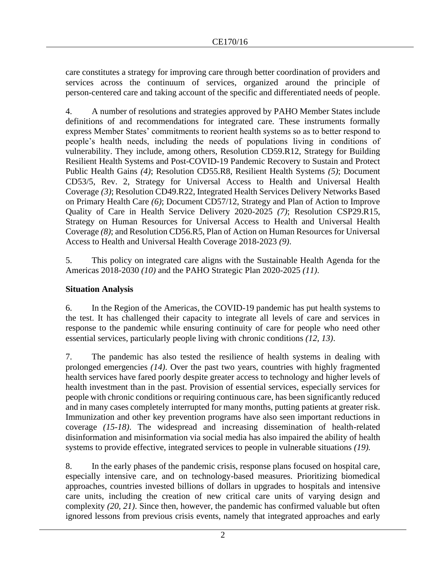care constitutes a strategy for improving care through better coordination of providers and services across the continuum of services, organized around the principle of person-centered care and taking account of the specific and differentiated needs of people.

4. A number of resolutions and strategies approved by PAHO Member States include definitions of and recommendations for integrated care. These instruments formally express Member States' commitments to reorient health systems so as to better respond to people's health needs, including the needs of populations living in conditions of vulnerability. They include, among others, Resolution CD59.R12, Strategy for Building Resilient Health Systems and Post-COVID-19 Pandemic Recovery to Sustain and Protect Public Health Gains *(4)*; Resolution CD55.R8, Resilient Health Systems *(5)*; Document CD53/5, Rev. 2, Strategy for Universal Access to Health and Universal Health Coverage *(3)*; Resolution CD49.R22, Integrated Health Services Delivery Networks Based on Primary Health Care *(6)*; Document CD57/12, Strategy and Plan of Action to Improve Quality of Care in Health Service Delivery 2020-2025 *(7)*; Resolution CSP29.R15, Strategy on Human Resources for Universal Access to Health and Universal Health Coverage *(8)*; and Resolution CD56.R5, Plan of Action on Human Resources for Universal Access to Health and Universal Health Coverage 2018-2023 *(9)*.

5. This policy on integrated care aligns with the Sustainable Health Agenda for the Americas 2018-2030 *(10)* and the PAHO Strategic Plan 2020-2025 *(11)*.

## **Situation Analysis**

6. In the Region of the Americas, the COVID-19 pandemic has put health systems to the test. It has challenged their capacity to integrate all levels of care and services in response to the pandemic while ensuring continuity of care for people who need other essential services, particularly people living with chronic conditions *(12, 13)*.

7. The pandemic has also tested the resilience of health systems in dealing with prolonged emergencies *(14)*. Over the past two years, countries with highly fragmented health services have fared poorly despite greater access to technology and higher levels of health investment than in the past. Provision of essential services, especially services for people with chronic conditions or requiring continuous care, has been significantly reduced and in many cases completely interrupted for many months, putting patients at greater risk. Immunization and other key prevention programs have also seen important reductions in coverage *(15-18)*. The widespread and increasing dissemination of health-related disinformation and misinformation via social media has also impaired the ability of health systems to provide effective, integrated services to people in vulnerable situations *(19).*

8. In the early phases of the pandemic crisis, response plans focused on hospital care, especially intensive care, and on technology-based measures. Prioritizing biomedical approaches, countries invested billions of dollars in upgrades to hospitals and intensive care units, including the creation of new critical care units of varying design and complexity *(20, 21)*. Since then, however, the pandemic has confirmed valuable but often ignored lessons from previous crisis events, namely that integrated approaches and early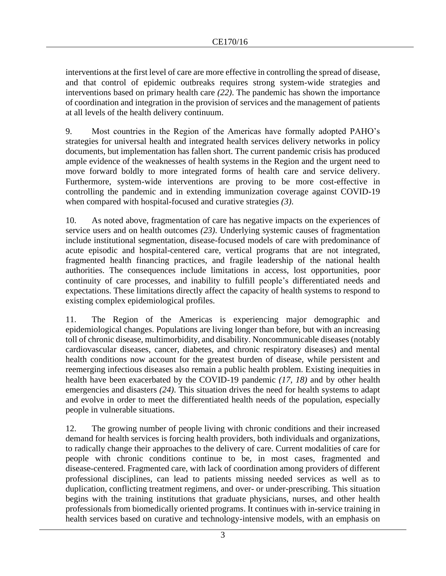interventions at the first level of care are more effective in controlling the spread of disease, and that control of epidemic outbreaks requires strong system-wide strategies and interventions based on primary health care *(22)*. The pandemic has shown the importance of coordination and integration in the provision of services and the management of patients at all levels of the health delivery continuum.

9. Most countries in the Region of the Americas have formally adopted PAHO's strategies for universal health and integrated health services delivery networks in policy documents, but implementation has fallen short. The current pandemic crisis has produced ample evidence of the weaknesses of health systems in the Region and the urgent need to move forward boldly to more integrated forms of health care and service delivery. Furthermore, system-wide interventions are proving to be more cost-effective in controlling the pandemic and in extending immunization coverage against COVID-19 when compared with hospital-focused and curative strategies *(3)*.

10. As noted above, fragmentation of care has negative impacts on the experiences of service users and on health outcomes *(23)*. Underlying systemic causes of fragmentation include institutional segmentation, disease-focused models of care with predominance of acute episodic and hospital-centered care, vertical programs that are not integrated, fragmented health financing practices, and fragile leadership of the national health authorities. The consequences include limitations in access, lost opportunities, poor continuity of care processes, and inability to fulfill people's differentiated needs and expectations. These limitations directly affect the capacity of health systems to respond to existing complex epidemiological profiles.

11. The Region of the Americas is experiencing major demographic and epidemiological changes. Populations are living longer than before, but with an increasing toll of chronic disease, multimorbidity, and disability. Noncommunicable diseases (notably cardiovascular diseases, cancer, diabetes, and chronic respiratory diseases) and mental health conditions now account for the greatest burden of disease, while persistent and reemerging infectious diseases also remain a public health problem. Existing inequities in health have been exacerbated by the COVID-19 pandemic *(17, 18)* and by other health emergencies and disasters *(24)*. This situation drives the need for health systems to adapt and evolve in order to meet the differentiated health needs of the population, especially people in vulnerable situations.

12. The growing number of people living with chronic conditions and their increased demand for health services is forcing health providers, both individuals and organizations, to radically change their approaches to the delivery of care. Current modalities of care for people with chronic conditions continue to be, in most cases, fragmented and disease-centered. Fragmented care, with lack of coordination among providers of different professional disciplines, can lead to patients missing needed services as well as to duplication, conflicting treatment regimens, and over- or under-prescribing. This situation begins with the training institutions that graduate physicians, nurses, and other health professionals from biomedically oriented programs. It continues with in-service training in health services based on curative and technology-intensive models, with an emphasis on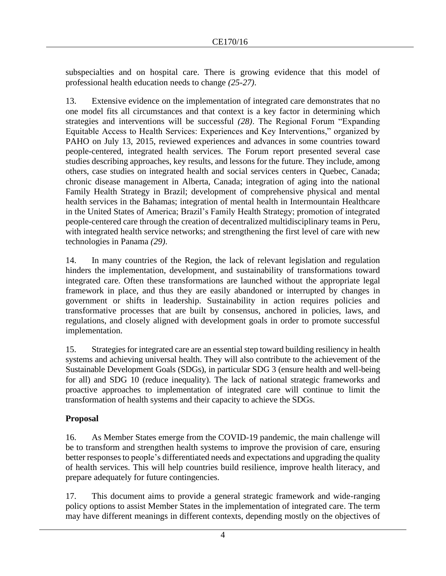subspecialties and on hospital care. There is growing evidence that this model of professional health education needs to change *(25-27)*.

13. Extensive evidence on the implementation of integrated care demonstrates that no one model fits all circumstances and that context is a key factor in determining which strategies and interventions will be successful *(28)*. The Regional Forum "Expanding Equitable Access to Health Services: Experiences and Key Interventions," organized by PAHO on July 13, 2015, reviewed experiences and advances in some countries toward people-centered, integrated health services. The Forum report presented several case studies describing approaches, key results, and lessons for the future. They include, among others, case studies on integrated health and social services centers in Quebec, Canada; chronic disease management in Alberta, Canada; integration of aging into the national Family Health Strategy in Brazil; development of comprehensive physical and mental health services in the Bahamas; integration of mental health in Intermountain Healthcare in the United States of America; Brazil's Family Health Strategy; promotion of integrated people-centered care through the creation of decentralized multidisciplinary teams in Peru, with integrated health service networks; and strengthening the first level of care with new technologies in Panama *(29)*.

14. In many countries of the Region, the lack of relevant legislation and regulation hinders the implementation, development, and sustainability of transformations toward integrated care. Often these transformations are launched without the appropriate legal framework in place, and thus they are easily abandoned or interrupted by changes in government or shifts in leadership. Sustainability in action requires policies and transformative processes that are built by consensus, anchored in policies, laws, and regulations, and closely aligned with development goals in order to promote successful implementation.

15. Strategies for integrated care are an essential step toward building resiliency in health systems and achieving universal health. They will also contribute to the achievement of the Sustainable Development Goals (SDGs), in particular SDG 3 (ensure health and well-being for all) and SDG 10 (reduce inequality). The lack of national strategic frameworks and proactive approaches to implementation of integrated care will continue to limit the transformation of health systems and their capacity to achieve the SDGs.

## **Proposal**

16. As Member States emerge from the COVID-19 pandemic, the main challenge will be to transform and strengthen health systems to improve the provision of care, ensuring better responses to people's differentiated needs and expectations and upgrading the quality of health services. This will help countries build resilience, improve health literacy, and prepare adequately for future contingencies.

17. This document aims to provide a general strategic framework and wide-ranging policy options to assist Member States in the implementation of integrated care. The term may have different meanings in different contexts, depending mostly on the objectives of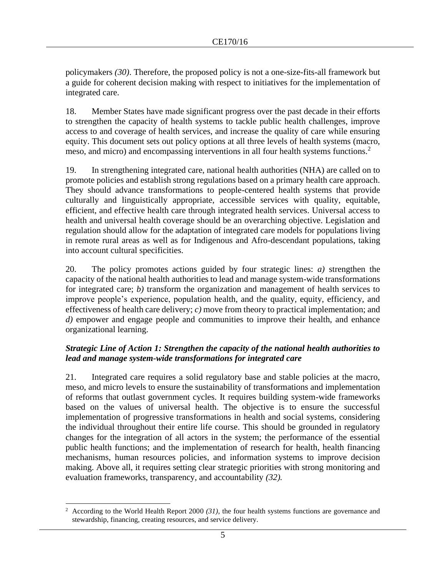policymakers *(30)*. Therefore, the proposed policy is not a one-size-fits-all framework but a guide for coherent decision making with respect to initiatives for the implementation of integrated care.

18. Member States have made significant progress over the past decade in their efforts to strengthen the capacity of health systems to tackle public health challenges, improve access to and coverage of health services, and increase the quality of care while ensuring equity. This document sets out policy options at all three levels of health systems (macro, meso, and micro) and encompassing interventions in all four health systems functions.<sup>2</sup>

19. In strengthening integrated care, national health authorities (NHA) are called on to promote policies and establish strong regulations based on a primary health care approach. They should advance transformations to people-centered health systems that provide culturally and linguistically appropriate, accessible services with quality, equitable, efficient, and effective health care through integrated health services. Universal access to health and universal health coverage should be an overarching objective. Legislation and regulation should allow for the adaptation of integrated care models for populations living in remote rural areas as well as for Indigenous and Afro-descendant populations, taking into account cultural specificities.

20. The policy promotes actions guided by four strategic lines: *a)* strengthen the capacity of the national health authorities to lead and manage system-wide transformations for integrated care; *b)* transform the organization and management of health services to improve people's experience, population health, and the quality, equity, efficiency, and effectiveness of health care delivery; *c)* move from theory to practical implementation; and *d)* empower and engage people and communities to improve their health, and enhance organizational learning.

## *Strategic Line of Action 1: Strengthen the capacity of the national health authorities to lead and manage system-wide transformations for integrated care*

21. Integrated care requires a solid regulatory base and stable policies at the macro, meso, and micro levels to ensure the sustainability of transformations and implementation of reforms that outlast government cycles. It requires building system-wide frameworks based on the values of universal health. The objective is to ensure the successful implementation of progressive transformations in health and social systems, considering the individual throughout their entire life course. This should be grounded in regulatory changes for the integration of all actors in the system; the performance of the essential public health functions; and the implementation of research for health, health financing mechanisms, human resources policies, and information systems to improve decision making. Above all, it requires setting clear strategic priorities with strong monitoring and evaluation frameworks, transparency, and accountability *(32).*

<sup>2</sup> According to the World Health Report 2000 *(31)*, the four health systems functions are governance and stewardship, financing, creating resources, and service delivery.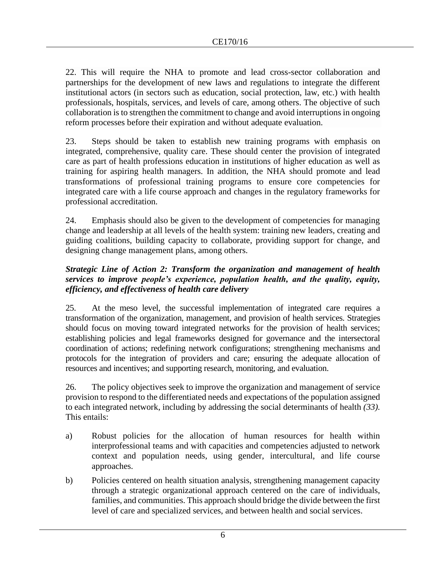22. This will require the NHA to promote and lead cross-sector collaboration and partnerships for the development of new laws and regulations to integrate the different institutional actors (in sectors such as education, social protection, law, etc.) with health professionals, hospitals, services, and levels of care, among others. The objective of such collaboration is to strengthen the commitment to change and avoid interruptions in ongoing reform processes before their expiration and without adequate evaluation.

23. Steps should be taken to establish new training programs with emphasis on integrated, comprehensive, quality care. These should center the provision of integrated care as part of health professions education in institutions of higher education as well as training for aspiring health managers. In addition, the NHA should promote and lead transformations of professional training programs to ensure core competencies for integrated care with a life course approach and changes in the regulatory frameworks for professional accreditation.

24. Emphasis should also be given to the development of competencies for managing change and leadership at all levels of the health system: training new leaders, creating and guiding coalitions, building capacity to collaborate, providing support for change, and designing change management plans, among others.

## *Strategic Line of Action 2: Transform the organization and management of health services to improve people's experience, population health, and the quality, equity, efficiency, and effectiveness of health care delivery*

25. At the meso level, the successful implementation of integrated care requires a transformation of the organization, management, and provision of health services. Strategies should focus on moving toward integrated networks for the provision of health services; establishing policies and legal frameworks designed for governance and the intersectoral coordination of actions; redefining network configurations; strengthening mechanisms and protocols for the integration of providers and care; ensuring the adequate allocation of resources and incentives; and supporting research, monitoring, and evaluation.

26. The policy objectives seek to improve the organization and management of service provision to respond to the differentiated needs and expectations of the population assigned to each integrated network, including by addressing the social determinants of health *(33).* This entails:

- a) Robust policies for the allocation of human resources for health within interprofessional teams and with capacities and competencies adjusted to network context and population needs, using gender, intercultural, and life course approaches.
- b) Policies centered on health situation analysis, strengthening management capacity through a strategic organizational approach centered on the care of individuals, families, and communities. This approach should bridge the divide between the first level of care and specialized services, and between health and social services.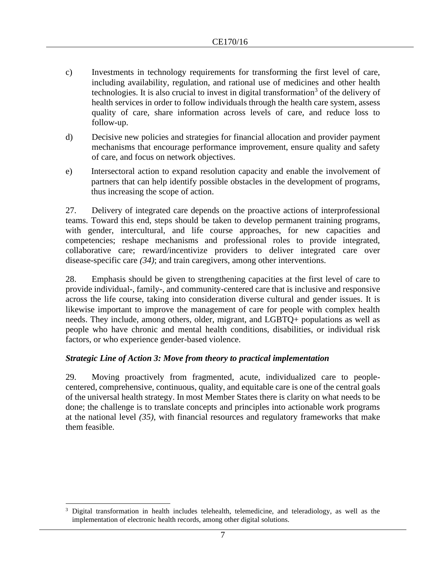- c) Investments in technology requirements for transforming the first level of care, including availability, regulation, and rational use of medicines and other health technologies. It is also crucial to invest in digital transformation<sup>3</sup> of the delivery of health services in order to follow individuals through the health care system, assess quality of care, share information across levels of care, and reduce loss to follow-up.
- d) Decisive new policies and strategies for financial allocation and provider payment mechanisms that encourage performance improvement, ensure quality and safety of care, and focus on network objectives.
- e) Intersectoral action to expand resolution capacity and enable the involvement of partners that can help identify possible obstacles in the development of programs, thus increasing the scope of action.

27. Delivery of integrated care depends on the proactive actions of interprofessional teams. Toward this end, steps should be taken to develop permanent training programs, with gender, intercultural, and life course approaches, for new capacities and competencies; reshape mechanisms and professional roles to provide integrated, collaborative care; reward/incentivize providers to deliver integrated care over disease-specific care *(34)*; and train caregivers, among other interventions.

28. Emphasis should be given to strengthening capacities at the first level of care to provide individual-, family-, and community-centered care that is inclusive and responsive across the life course, taking into consideration diverse cultural and gender issues. It is likewise important to improve the management of care for people with complex health needs. They include, among others, older, migrant, and LGBTQ+ populations as well as people who have chronic and mental health conditions, disabilities, or individual risk factors, or who experience gender-based violence.

#### *Strategic Line of Action 3: Move from theory to practical implementation*

29. Moving proactively from fragmented, acute, individualized care to peoplecentered, comprehensive, continuous, quality, and equitable care is one of the central goals of the universal health strategy. In most Member States there is clarity on what needs to be done; the challenge is to translate concepts and principles into actionable work programs at the national level *(35)*, with financial resources and regulatory frameworks that make them feasible.

<sup>&</sup>lt;sup>3</sup> Digital transformation in health includes telehealth, telemedicine, and teleradiology, as well as the implementation of electronic health records, among other digital solutions.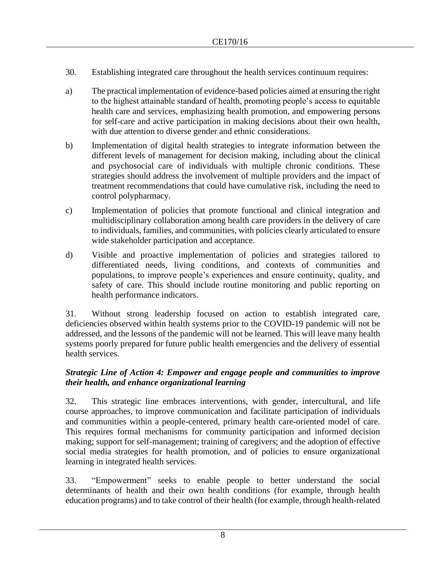- 30. Establishing integrated care throughout the health services continuum requires:
- a) The practical implementation of evidence-based policies aimed at ensuring the right to the highest attainable standard of health, promoting people's access to equitable health care and services, emphasizing health promotion, and empowering persons for self-care and active participation in making decisions about their own health, with due attention to diverse gender and ethnic considerations.
- b) Implementation of digital health strategies to integrate information between the different levels of management for decision making, including about the clinical and psychosocial care of individuals with multiple chronic conditions. These strategies should address the involvement of multiple providers and the impact of treatment recommendations that could have cumulative risk, including the need to control polypharmacy.
- c) Implementation of policies that promote functional and clinical integration and multidisciplinary collaboration among health care providers in the delivery of care to individuals, families, and communities, with policies clearly articulated to ensure wide stakeholder participation and acceptance.
- d) Visible and proactive implementation of policies and strategies tailored to differentiated needs, living conditions, and contexts of communities and populations, to improve people's experiences and ensure continuity, quality, and safety of care. This should include routine monitoring and public reporting on health performance indicators.

31. Without strong leadership focused on action to establish integrated care, deficiencies observed within health systems prior to the COVID-19 pandemic will not be addressed, and the lessons of the pandemic will not be learned. This will leave many health systems poorly prepared for future public health emergencies and the delivery of essential health services.

## *Strategic Line of Action 4: Empower and engage people and communities to improve their health, and enhance organizational learning*

32. This strategic line embraces interventions, with gender, intercultural, and life course approaches, to improve communication and facilitate participation of individuals and communities within a people-centered, primary health care-oriented model of care. This requires formal mechanisms for community participation and informed decision making; support for self-management; training of caregivers; and the adoption of effective social media strategies for health promotion, and of policies to ensure organizational learning in integrated health services.

33. "Empowerment" seeks to enable people to better understand the social determinants of health and their own health conditions (for example, through health education programs) and to take control of their health (for example, through health-related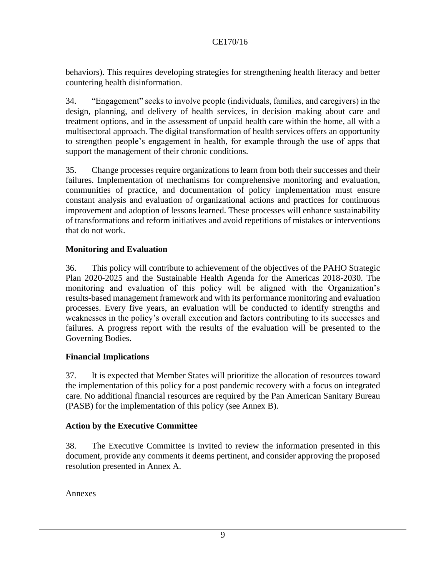behaviors). This requires developing strategies for strengthening health literacy and better countering health disinformation.

34. "Engagement" seeks to involve people (individuals, families, and caregivers) in the design, planning, and delivery of health services, in decision making about care and treatment options, and in the assessment of unpaid health care within the home, all with a multisectoral approach. The digital transformation of health services offers an opportunity to strengthen people's engagement in health, for example through the use of apps that support the management of their chronic conditions.

35. Change processes require organizations to learn from both their successes and their failures. Implementation of mechanisms for comprehensive monitoring and evaluation, communities of practice, and documentation of policy implementation must ensure constant analysis and evaluation of organizational actions and practices for continuous improvement and adoption of lessons learned. These processes will enhance sustainability of transformations and reform initiatives and avoid repetitions of mistakes or interventions that do not work.

## **Monitoring and Evaluation**

36. This policy will contribute to achievement of the objectives of the PAHO Strategic Plan 2020-2025 and the Sustainable Health Agenda for the Americas 2018-2030. The monitoring and evaluation of this policy will be aligned with the Organization's results-based management framework and with its performance monitoring and evaluation processes. Every five years, an evaluation will be conducted to identify strengths and weaknesses in the policy's overall execution and factors contributing to its successes and failures. A progress report with the results of the evaluation will be presented to the Governing Bodies.

#### **Financial Implications**

37. It is expected that Member States will prioritize the allocation of resources toward the implementation of this policy for a post pandemic recovery with a focus on integrated care. No additional financial resources are required by the Pan American Sanitary Bureau (PASB) for the implementation of this policy (see Annex B).

#### **Action by the Executive Committee**

38. The Executive Committee is invited to review the information presented in this document, provide any comments it deems pertinent, and consider approving the proposed resolution presented in Annex A.

Annexes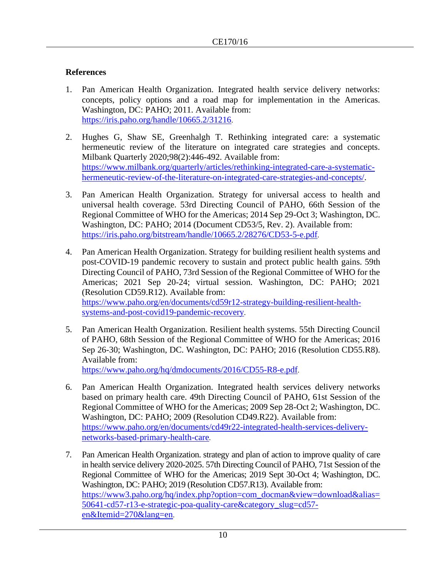## **References**

- 1. Pan American Health Organization. Integrated health service delivery networks: concepts, policy options and a road map for implementation in the Americas. Washington, DC: PAHO; 2011. Available from: <https://iris.paho.org/handle/10665.2/31216>.
- 2. Hughes G, Shaw SE, Greenhalgh T. Rethinking integrated care: a systematic hermeneutic review of the literature on integrated care strategies and concepts. Milbank Quarterly 2020;98(2):446-492. Available from: [https://www.milbank.org/quarterly/articles/rethinking-integrated-care-a-systematic](https://www.milbank.org/quarterly/articles/rethinking-integrated-care-a-systematic-hermeneutic-review-of-the-literature-on-integrated-care-strategies-and-concepts/)[hermeneutic-review-of-the-literature-on-integrated-care-strategies-and-concepts/.](https://www.milbank.org/quarterly/articles/rethinking-integrated-care-a-systematic-hermeneutic-review-of-the-literature-on-integrated-care-strategies-and-concepts/)
- 3. Pan American Health Organization. Strategy for universal access to health and universal health coverage. 53rd Directing Council of PAHO, 66th Session of the Regional Committee of WHO for the Americas; 2014 Sep 29-Oct 3; Washington, DC. Washington, DC: PAHO; 2014 (Document CD53/5, Rev. 2). Available from: <https://iris.paho.org/bitstream/handle/10665.2/28276/CD53-5-e.pdf>.
- 4. Pan American Health Organization. Strategy for building resilient health systems and post-COVID-19 pandemic recovery to sustain and protect public health gains. 59th Directing Council of PAHO, 73rd Session of the Regional Committee of WHO for the Americas; 2021 Sep 20-24; virtual session. Washington, DC: PAHO; 2021 (Resolution CD59.R12). Available from: [https://www.paho.org/en/documents/cd59r12-strategy-building-resilient-health](https://www.paho.org/en/documents/cd59r12-strategy-building-resilient-health-systems-and-post-covid19-pandemic-recovery)[systems-and-post-covid19-pandemic-recovery](https://www.paho.org/en/documents/cd59r12-strategy-building-resilient-health-systems-and-post-covid19-pandemic-recovery).
- 5. Pan American Health Organization. Resilient health systems. 55th Directing Council of PAHO, 68th Session of the Regional Committee of WHO for the Americas; 2016 Sep 26-30; Washington, DC. Washington, DC: PAHO; 2016 (Resolution CD55.R8). Available from: <https://www.paho.org/hq/dmdocuments/2016/CD55-R8-e.pdf>.
- 6. Pan American Health Organization. Integrated health services delivery networks based on primary health care. 49th Directing Council of PAHO, 61st Session of the Regional Committee of WHO for the Americas; 2009 Sep 28-Oct 2; Washington, DC. Washington, DC: PAHO; 2009 (Resolution CD49.R22). Available from: https://www.paho.org/en/documents/cd49r22-integrated-health-services-deliverynetworks-based-primary-health-care.
- 7. Pan American Health Organization. strategy and plan of action to improve quality of care in health service delivery 2020-2025. 57th Directing Council of PAHO, 71st Session of the Regional Committee of WHO for the Americas; 2019 Sept 30-Oct 4; Washington, DC. Washington, DC: PAHO; 2019 (Resolution CD57.R13). Available from: [https://www3.paho.org/hq/index.php?option=com\\_docman&view=download&alias=](https://www3.paho.org/hq/index.php?option=com_docman&view=download&alias=50641-cd57-r13-e-strategic-poa-quality-care&category_slug=cd57-en&Itemid=270&lang=en) [50641-cd57-r13-e-strategic-poa-quality-care&category\\_slug=cd57](https://www3.paho.org/hq/index.php?option=com_docman&view=download&alias=50641-cd57-r13-e-strategic-poa-quality-care&category_slug=cd57-en&Itemid=270&lang=en) [en&Itemid=270&lang=en](https://www3.paho.org/hq/index.php?option=com_docman&view=download&alias=50641-cd57-r13-e-strategic-poa-quality-care&category_slug=cd57-en&Itemid=270&lang=en).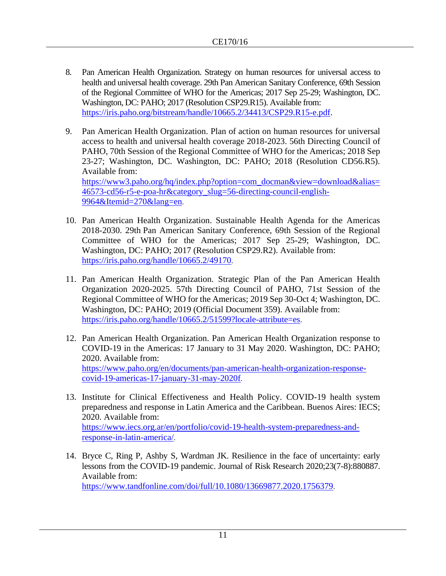- 8. Pan American Health Organization. Strategy on human resources for universal access to health and universal health coverage. 29th Pan American Sanitary Conference, 69th Session of the Regional Committee of WHO for the Americas; 2017 Sep 25-29; Washington, DC. Washington, DC: PAHO; 2017 (Resolution CSP29.R15). Available from: [https://iris.paho.org/bitstream/handle/10665.2/34413/CSP29.R15-e.pdf.](https://iris.paho.org/bitstream/handle/10665.2/34413/CSP29.R15-e.pdf)
- 9. Pan American Health Organization. Plan of action on human resources for universal access to health and universal health coverage 2018-2023. 56th Directing Council of PAHO, 70th Session of the Regional Committee of WHO for the Americas; 2018 Sep 23-27; Washington, DC. Washington, DC: PAHO; 2018 (Resolution CD56.R5). Available from: [https://www3.paho.org/hq/index.php?option=com\\_docman&view=download&alias=](https://www3.paho.org/hq/index.php?option=com_docman&view=download&alias=46573-cd56-r5-e-poa-hr&category_slug=56-directing-council-english-9964&Itemid=270&lang=en) [46573-cd56-r5-e-poa-hr&category\\_slug=56-directing-council-english-](https://www3.paho.org/hq/index.php?option=com_docman&view=download&alias=46573-cd56-r5-e-poa-hr&category_slug=56-directing-council-english-9964&Itemid=270&lang=en)[9964&Itemid=270&lang=en](https://www3.paho.org/hq/index.php?option=com_docman&view=download&alias=46573-cd56-r5-e-poa-hr&category_slug=56-directing-council-english-9964&Itemid=270&lang=en).
- 10. Pan American Health Organization. Sustainable Health Agenda for the Americas 2018-2030. 29th Pan American Sanitary Conference, 69th Session of the Regional Committee of WHO for the Americas; 2017 Sep 25-29; Washington, DC. Washington, DC: PAHO; 2017 (Resolution CSP29.R2). Available from: <https://iris.paho.org/handle/10665.2/49170>.
- 11. Pan American Health Organization. Strategic Plan of the Pan American Health Organization 2020-2025. 57th Directing Council of PAHO, 71st Session of the Regional Committee of WHO for the Americas; 2019 Sep 30-Oct 4; Washington, DC. Washington, DC: PAHO; 2019 (Official Document 359). Available from: <https://iris.paho.org/handle/10665.2/51599?locale-attribute=es>.
- 12. Pan American Health Organization. Pan American Health Organization response to COVID-19 in the Americas: 17 January to 31 May 2020. Washington, DC: PAHO; 2020. Available from: [https://www.paho.org/en/documents/pan-american-health-organization-response](https://www.paho.org/en/documents/pan-american-health-organization-response-covid-19-americas-17-january-31-may-2020f)[covid-19-americas-17-january-31-may-2020f](https://www.paho.org/en/documents/pan-american-health-organization-response-covid-19-americas-17-january-31-may-2020f).
- 13. Institute for Clinical Effectiveness and Health Policy. COVID-19 health system preparedness and response in Latin America and the Caribbean. Buenos Aires: IECS; 2020. Available from: [https://www.iecs.org.ar/en/portfolio/covid-19-health-system-preparedness-and](https://www.iecs.org.ar/en/portfolio/covid-19-health-system-preparedness-and-response-in-latin-america/)[response-in-latin-america/](https://www.iecs.org.ar/en/portfolio/covid-19-health-system-preparedness-and-response-in-latin-america/).
- 14. Bryce C, Ring P, Ashby S, Wardman JK. Resilience in the face of uncertainty: early lessons from the COVID-19 pandemic. Journal of Risk Research 2020;23(7-8):880887. Available from: <https://www.tandfonline.com/doi/full/10.1080/13669877.2020.1756379>.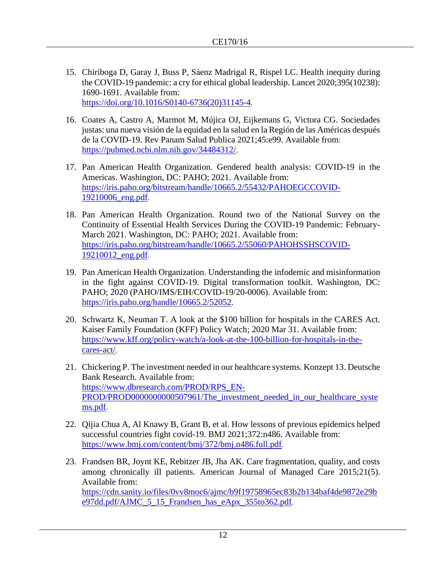- 15. Chiriboga D, Garay J, Buss P, Sáenz Madrigal R, Rispel LC. Health inequity during the COVID-19 pandemic: a cry for ethical global leadership. Lancet 2020;395(10238): 1690-1691. Available from: [https://doi.org/10.1016/S0140-6736\(20\)31145-4](https://doi.org/10.1016/S0140-6736(20)31145-4).
- 16. [Coates](https://www.ncbi.nlm.nih.gov/pubmed/?term=Coates%20A%5BAuthor%5D&cauthor=true&cauthor_uid=34484312) A, [Castro](https://www.ncbi.nlm.nih.gov/pubmed/?term=Castro%20A%5BAuthor%5D&cauthor=true&cauthor_uid=34484312) A, [Marmot](https://www.ncbi.nlm.nih.gov/pubmed/?term=Marmot%20M%5BAuthor%5D&cauthor=true&cauthor_uid=34484312) M, [Mújica](https://www.ncbi.nlm.nih.gov/pubmed/?term=M%26%23x000fa%3Bjica%20OJ%5BAuthor%5D&cauthor=true&cauthor_uid=34484312) OJ, [Eijkemans](https://www.ncbi.nlm.nih.gov/pubmed/?term=Eijkemans%20G%5BAuthor%5D&cauthor=true&cauthor_uid=34484312) G, [Victora](https://www.ncbi.nlm.nih.gov/pubmed/?term=Victora%20CG%5BAuthor%5D&cauthor=true&cauthor_uid=34484312) CG. Sociedades justas: una nueva visión de la equidad en la salud en la Región de las Américas después de la COVID-19. [Rev Panam Salud Publica](https://www.ncbi.nlm.nih.gov/pmc/articles/PMC8407600/) 2021;45:e99. Available from: <https://pubmed.ncbi.nlm.nih.gov/34484312/>.
- 17. Pan American Health Organization. Gendered health analysis: COVID-19 in the Americas. Washington, DC: PAHO; 2021. Available from: [https://iris.paho.org/bitstream/handle/10665.2/55432/PAHOEGCCOVID-](https://iris.paho.org/bitstream/handle/10665.2/55432/PAHOEGCCOVID-19210006_eng.pdf)[19210006\\_eng.pdf](https://iris.paho.org/bitstream/handle/10665.2/55432/PAHOEGCCOVID-19210006_eng.pdf).
- 18. Pan American Health Organization. Round two of the National Survey on the Continuity of Essential Health Services During the COVID-19 Pandemic: February-March 2021. Washington, DC: PAHO; 2021. Available from: [https://iris.paho.org/bitstream/handle/10665.2/55060/PAHOHSSHSCOVID-](https://iris.paho.org/bitstream/handle/10665.2/55060/PAHOHSSHSCOVID-19210012_eng.pdf)[19210012\\_eng.pdf](https://iris.paho.org/bitstream/handle/10665.2/55060/PAHOHSSHSCOVID-19210012_eng.pdf).
- 19. Pan American Health Organization. Understanding the infodemic and misinformation in the fight against COVID-19. Digital transformation toolkit. Washington, DC: PAHO; 2020 (PAHO/IMS/EIH/COVID-19/20-0006). Available from: [https://iris.paho.org/handle/10665.2/52052.](https://iris.paho.org/handle/10665.2/52052)
- 20. [Schwartz](https://www.kff.org/person/karyn-schwartz/) K, [Neuman](https://www.kff.org/person/tricia-neuman/) T. A look at the \$100 billion for hospitals in the CARES Act. Kaiser Family Foundation (KFF) Policy Watch; 2020 Mar 31. Available from: [https://www.kff.org/policy-watch/a-look-at-the-100-billion-for-hospitals-in-the](https://www.kff.org/policy-watch/a-look-at-the-100-billion-for-hospitals-in-the-cares-act/)[cares-act/](https://www.kff.org/policy-watch/a-look-at-the-100-billion-for-hospitals-in-the-cares-act/).
- 21. Chickering P. The investment needed in our healthcare systems. Konzept 13. Deutsche Bank Research. Available from: [https://www.dbresearch.com/PROD/RPS\\_EN-](https://www.dbresearch.com/PROD/RPS_EN-PROD/PROD0000000000507961/The_investment_needed_in_our_healthcare_systems.pdf)[PROD/PROD0000000000507961/The\\_investment\\_needed\\_in\\_our\\_healthcare\\_syste](https://www.dbresearch.com/PROD/RPS_EN-PROD/PROD0000000000507961/The_investment_needed_in_our_healthcare_systems.pdf) [ms.pdf](https://www.dbresearch.com/PROD/RPS_EN-PROD/PROD0000000000507961/The_investment_needed_in_our_healthcare_systems.pdf).
- 22. Qijia Chua A, Al Knawy B, Grant B, et al. How lessons of previous epidemics helped successful countries fight covid-19. BMJ 2021;372:n486. Available from: <https://www.bmj.com/content/bmj/372/bmj.n486.full.pdf>.
- 23. Frandsen BR, Joynt KE, Rebitzer JB, Jha AK. Care fragmentation, quality, and costs among chronically ill patients. American Journal of Managed Care 2015;21(5). Available from: [https://cdn.sanity.io/files/0vv8moc6/ajmc/b9f19758965ec83b2b134baf4de9872e29b](https://cdn.sanity.io/files/0vv8moc6/ajmc/b9f19758965ec83b2b134baf4de9872e29be97dd.pdf/AJMC_5_15_Frandsen_has_eApx_355to362.pdf) [e97dd.pdf/AJMC\\_5\\_15\\_Frandsen\\_has\\_eApx\\_355to362.pdf](https://cdn.sanity.io/files/0vv8moc6/ajmc/b9f19758965ec83b2b134baf4de9872e29be97dd.pdf/AJMC_5_15_Frandsen_has_eApx_355to362.pdf).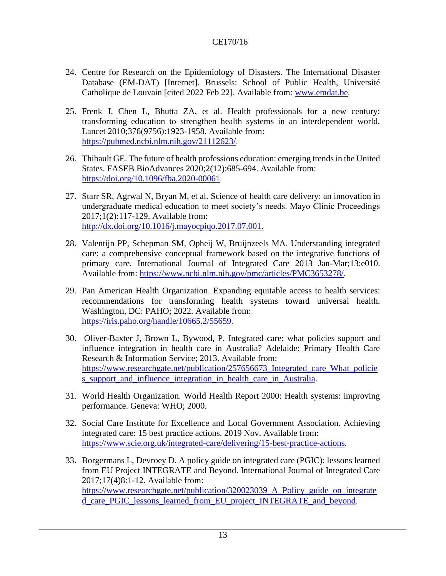- 24. Centre for Research on the Epidemiology of Disasters. The International Disaster Database (EM-DAT) [Internet]. Brussels: School of Public Health, Université Catholique de Louvain [cited 2022 Feb 22]. Available from: [www.emdat.be](http://www.emdat.be/).
- 25. Frenk J, Chen L, Bhutta ZA, et al. Health professionals for a new century: transforming education to strengthen health systems in an interdependent world. Lancet 2010;376(9756):1923-1958. Available from: <https://pubmed.ncbi.nlm.nih.gov/21112623/>.
- 26. Thibault GE. The future of health professions education: emerging trends in the United States. FASEB BioAdvances 2020;2(12):685-694. Available from: <https://doi.org/10.1096/fba.2020-00061>.
- 27. Starr SR, Agrwal N, Bryan M, et al. Science of health care delivery: an innovation in undergraduate medical education to meet society's needs. Mayo Clinic Proceedings 2017;1(2):117-129. Available from: [http://dx.doi.org/10.1016/j.mayocpiqo.2017.07.001.](http://dx.doi.org/10.1016/j.mayocpiqo.2017.07.001)
- 28. Valentijn PP, Schepman SM, Opheij W, Bruijnzeels MA. Understanding integrated care: a comprehensive conceptual framework based on the integrative functions of primary care. International Journal of Integrated Care 2013 Jan-Mar;13:e010. Available from:<https://www.ncbi.nlm.nih.gov/pmc/articles/PMC3653278/>.
- 29. Pan American Health Organization. Expanding equitable access to health services: recommendations for transforming health systems toward universal health. Washington, DC: PAHO; 2022. Available from: <https://iris.paho.org/handle/10665.2/55659>.
- 30. Oliver-Baxter J, Brown L, Bywood, P. Integrated care: what policies support and influence integration in health care in Australia? Adelaide: Primary Health Care Research & Information Service; 2013. Available from: [https://www.researchgate.net/publication/257656673\\_Integrated\\_care\\_What\\_policie](https://www.researchgate.net/publication/257656673_Integrated_care_What_policies_support_and_influence_integration_in_health_care_in_Australia) [s\\_support\\_and\\_influence\\_integration\\_in\\_health\\_care\\_in\\_Australia.](https://www.researchgate.net/publication/257656673_Integrated_care_What_policies_support_and_influence_integration_in_health_care_in_Australia)
- 31. World Health Organization. World Health Report 2000: Health systems: improving performance. Geneva: WHO; 2000.
- 32. Social Care Institute for Excellence and Local Government Association. Achieving integrated care: 15 best practice actions. 2019 Nov. Available from: <https://www.scie.org.uk/integrated-care/delivering/15-best-practice-actions>.
- 33. Borgermans L, Devroey D. A policy guide on integrated care (PGIC): lessons learned from EU Project INTEGRATE and Beyond. International Journal of Integrated Care 2017;17(4)8:1-12. Available from: [https://www.researchgate.net/publication/320023039\\_A\\_Policy\\_guide\\_on\\_integrate](https://www.researchgate.net/publication/320023039_A_Policy_guide_on_integrated_care_PGIC_lessons_learned_from_EU_project_INTEGRATE_and_beyond) [d\\_care\\_PGIC\\_lessons\\_learned\\_from\\_EU\\_project\\_INTEGRATE\\_and\\_beyond](https://www.researchgate.net/publication/320023039_A_Policy_guide_on_integrated_care_PGIC_lessons_learned_from_EU_project_INTEGRATE_and_beyond).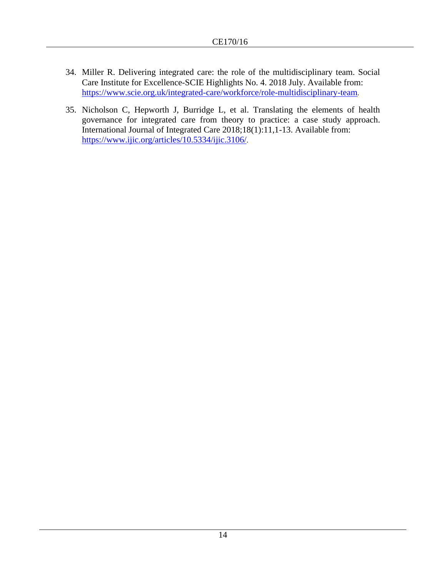- 34. Miller R. Delivering integrated care: the role of the multidisciplinary team. Social Care Institute for Excellence-SCIE Highlights No. 4. 2018 July. Available from: <https://www.scie.org.uk/integrated-care/workforce/role-multidisciplinary-team>.
- 35. Nicholson C, Hepworth J, Burridge L, et al. Translating the elements of health governance for integrated care from theory to practice: a case study approach. International Journal of Integrated Care 2018;18(1):11,1-13. Available from: <https://www.ijic.org/articles/10.5334/ijic.3106/>.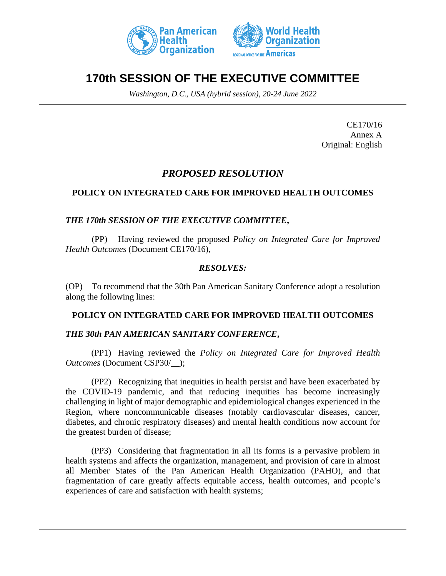



# **170th SESSION OF THE EXECUTIVE COMMITTEE**

*Washington, D.C., USA (hybrid session), 20-24 June 2022*

CE170/16 Annex A Original: English

## *PROPOSED RESOLUTION*

## **POLICY ON INTEGRATED CARE FOR IMPROVED HEALTH OUTCOMES**

## *THE 170th SESSION OF THE EXECUTIVE COMMITTEE***,**

(PP) Having reviewed the proposed *Policy on Integrated Care for Improved Health Outcomes* (Document CE170/16),

## *RESOLVES:*

(OP) To recommend that the 30th Pan American Sanitary Conference adopt a resolution along the following lines:

#### **POLICY ON INTEGRATED CARE FOR IMPROVED HEALTH OUTCOMES**

#### *THE 30th PAN AMERICAN SANITARY CONFERENCE***,**

(PP1) Having reviewed the *Policy on Integrated Care for Improved Health Outcomes* (Document CSP30/\_\_);

(PP2) Recognizing that inequities in health persist and have been exacerbated by the COVID-19 pandemic, and that reducing inequities has become increasingly challenging in light of major demographic and epidemiological changes experienced in the Region, where noncommunicable diseases (notably cardiovascular diseases, cancer, diabetes, and chronic respiratory diseases) and mental health conditions now account for the greatest burden of disease;

(PP3) Considering that fragmentation in all its forms is a pervasive problem in health systems and affects the organization, management, and provision of care in almost all Member States of the Pan American Health Organization (PAHO), and that fragmentation of care greatly affects equitable access, health outcomes, and people's experiences of care and satisfaction with health systems;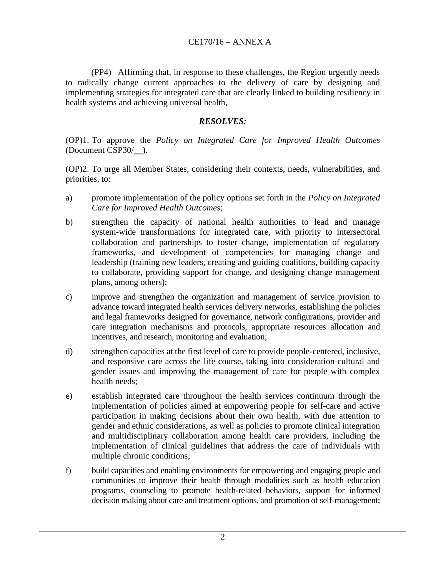(PP4) Affirming that, in response to these challenges, the Region urgently needs to radically change current approaches to the delivery of care by designing and implementing strategies for integrated care that are clearly linked to building resiliency in health systems and achieving universal health,

## *RESOLVES:*

(OP)1. To approve the *Policy on Integrated Care for Improved Health Outcomes*  (Document CSP30/\_\_).

(OP)2. To urge all Member States, considering their contexts, needs, vulnerabilities, and priorities, to:

- a) promote implementation of the policy options set forth in the *Policy on Integrated Care for Improved Health Outcomes*;
- b) strengthen the capacity of national health authorities to lead and manage system-wide transformations for integrated care, with priority to intersectoral collaboration and partnerships to foster change, implementation of regulatory frameworks, and development of competencies for managing change and leadership (training new leaders, creating and guiding coalitions, building capacity to collaborate, providing support for change, and designing change management plans, among others);
- c) improve and strengthen the organization and management of service provision to advance toward integrated health services delivery networks, establishing the policies and legal frameworks designed for governance, network configurations, provider and care integration mechanisms and protocols, appropriate resources allocation and incentives, and research, monitoring and evaluation;
- d) strengthen capacities at the first level of care to provide people-centered, inclusive, and responsive care across the life course, taking into consideration cultural and gender issues and improving the management of care for people with complex health needs;
- e) establish integrated care throughout the health services continuum through the implementation of policies aimed at empowering people for self-care and active participation in making decisions about their own health, with due attention to gender and ethnic considerations, as well as policies to promote clinical integration and multidisciplinary collaboration among health care providers, including the implementation of clinical guidelines that address the care of individuals with multiple chronic conditions;
- f) build capacities and enabling environments for empowering and engaging people and communities to improve their health through modalities such as health education programs, counseling to promote health-related behaviors, support for informed decision making about care and treatment options, and promotion of self-management;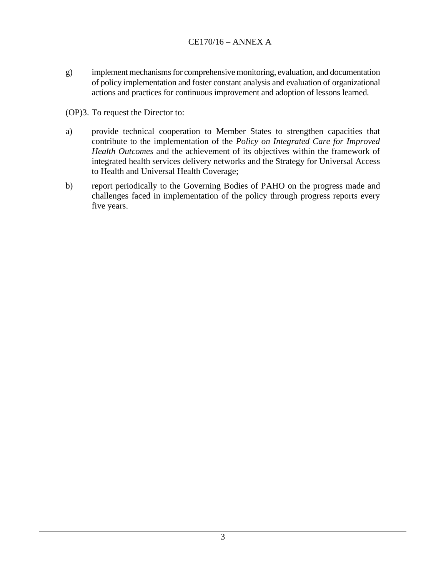g) implement mechanisms for comprehensive monitoring, evaluation, and documentation of policy implementation and foster constant analysis and evaluation of organizational actions and practices for continuous improvement and adoption of lessons learned.

(OP)3. To request the Director to:

- a) provide technical cooperation to Member States to strengthen capacities that contribute to the implementation of the *Policy on Integrated Care for Improved Health Outcomes* and the achievement of its objectives within the framework of integrated health services delivery networks and the Strategy for Universal Access to Health and Universal Health Coverage;
- b) report periodically to the Governing Bodies of PAHO on the progress made and challenges faced in implementation of the policy through progress reports every five years.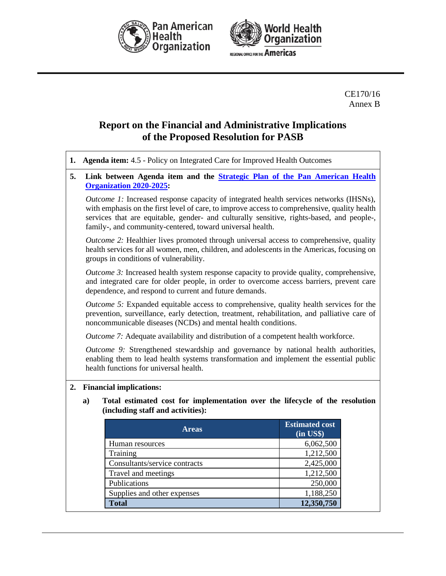



CE170/16 Annex B

# **Report on the Financial and Administrative Implications of the Proposed Resolution for PASB**

| 1. | Agenda item: 4.5 - Policy on Integrated Care for Improved Health Outcomes                                                                                                                                                      |                                                                                                                                                                                                                                                                                                                                                         |                                         |  |  |  |  |
|----|--------------------------------------------------------------------------------------------------------------------------------------------------------------------------------------------------------------------------------|---------------------------------------------------------------------------------------------------------------------------------------------------------------------------------------------------------------------------------------------------------------------------------------------------------------------------------------------------------|-----------------------------------------|--|--|--|--|
| 5. |                                                                                                                                                                                                                                | Link between Agenda item and the <b>Strategic Plan of the Pan American Health</b><br><b>Organization 2020-2025:</b>                                                                                                                                                                                                                                     |                                         |  |  |  |  |
|    |                                                                                                                                                                                                                                | <i>Outcome 1:</i> Increased response capacity of integrated health services networks (IHSNs),<br>with emphasis on the first level of care, to improve access to comprehensive, quality health<br>services that are equitable, gender- and culturally sensitive, rights-based, and people-,<br>family-, and community-centered, toward universal health. |                                         |  |  |  |  |
|    | Outcome 2: Healthier lives promoted through universal access to comprehensive, quality<br>health services for all women, men, children, and adolescents in the Americas, focusing on<br>groups in conditions of vulnerability. |                                                                                                                                                                                                                                                                                                                                                         |                                         |  |  |  |  |
|    |                                                                                                                                                                                                                                | <i>Outcome 3:</i> Increased health system response capacity to provide quality, comprehensive,<br>and integrated care for older people, in order to overcome access barriers, prevent care<br>dependence, and respond to current and future demands.                                                                                                    |                                         |  |  |  |  |
|    |                                                                                                                                                                                                                                | <i>Outcome 5:</i> Expanded equitable access to comprehensive, quality health services for the<br>prevention, surveillance, early detection, treatment, rehabilitation, and palliative care of<br>noncommunicable diseases (NCDs) and mental health conditions.                                                                                          |                                         |  |  |  |  |
|    |                                                                                                                                                                                                                                | Outcome 7: Adequate availability and distribution of a competent health workforce.                                                                                                                                                                                                                                                                      |                                         |  |  |  |  |
|    | Outcome 9: Strengthened stewardship and governance by national health authorities,<br>enabling them to lead health systems transformation and implement the essential public<br>health functions for universal health.         |                                                                                                                                                                                                                                                                                                                                                         |                                         |  |  |  |  |
| 2. |                                                                                                                                                                                                                                | <b>Financial implications:</b>                                                                                                                                                                                                                                                                                                                          |                                         |  |  |  |  |
|    | a)                                                                                                                                                                                                                             | Total estimated cost for implementation over the lifecycle of the resolution<br>(including staff and activities):                                                                                                                                                                                                                                       |                                         |  |  |  |  |
|    |                                                                                                                                                                                                                                | <b>Areas</b>                                                                                                                                                                                                                                                                                                                                            | <b>Estimated cost</b><br>$(in$ US\$ $)$ |  |  |  |  |
|    |                                                                                                                                                                                                                                | Human resources                                                                                                                                                                                                                                                                                                                                         | 6,062,500                               |  |  |  |  |
|    |                                                                                                                                                                                                                                | Training                                                                                                                                                                                                                                                                                                                                                | 1,212,500                               |  |  |  |  |
|    |                                                                                                                                                                                                                                | Consultants/service contracts                                                                                                                                                                                                                                                                                                                           | 2,425,000                               |  |  |  |  |
|    |                                                                                                                                                                                                                                | Travel and meetings                                                                                                                                                                                                                                                                                                                                     | 1,212,500                               |  |  |  |  |
|    |                                                                                                                                                                                                                                | Publications                                                                                                                                                                                                                                                                                                                                            | 250,000                                 |  |  |  |  |

Supplies and other expenses 1,188,250 **Total 12,350,750**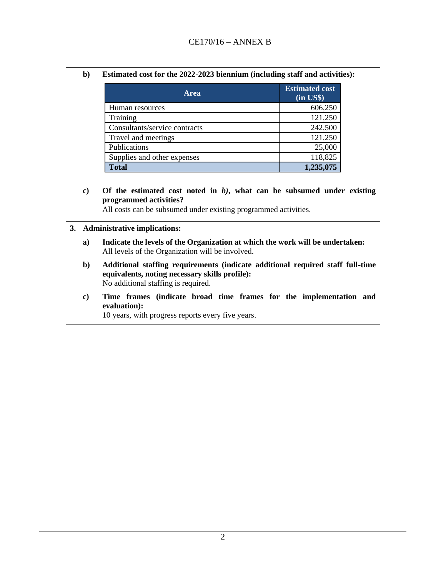| b) | Estimated cost for the 2022-2023 biennium (including staff and activities): |  |  |
|----|-----------------------------------------------------------------------------|--|--|
|    |                                                                             |  |  |

| <b>Area</b>                   | <b>Estimated cost</b><br>$(in \text{ US}\$)$ |
|-------------------------------|----------------------------------------------|
| Human resources               | 606,250                                      |
| Training                      | 121,250                                      |
| Consultants/service contracts | 242,500                                      |
| Travel and meetings           | 121,250                                      |
| Publications                  | 25,000                                       |
| Supplies and other expenses   | 118,825                                      |
| <b>Total</b>                  | 1,235,075                                    |

**c) Of the estimated cost noted in** *b)***, what can be subsumed under existing programmed activities?**

All costs can be subsumed under existing programmed activities.

#### **3. Administrative implications:**

- **a) Indicate the levels of the Organization at which the work will be undertaken:** All levels of the Organization will be involved.
- **b) Additional staffing requirements (indicate additional required staff full-time equivalents, noting necessary skills profile):** No additional staffing is required.
- **c) Time frames (indicate broad time frames for the implementation and evaluation):**

10 years, with progress reports every five years.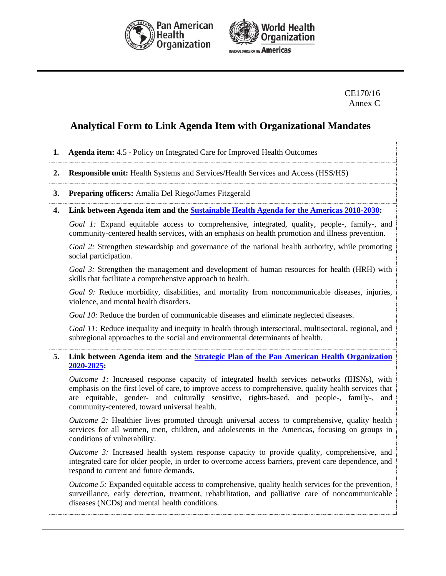



#### CE170/16 Annex C

## **Analytical Form to Link Agenda Item with Organizational Mandates**

|  |  | <b>1.</b> Agenda item: 4.5 - Policy on Integrated Care for Improved Health Outcomes |
|--|--|-------------------------------------------------------------------------------------|
|  |  |                                                                                     |

**2. Responsible unit:** Health Systems and Services/Health Services and Access (HSS/HS)

#### **3. Preparing officers:** Amalia Del Riego/James Fitzgerald

**4. Link between Agenda item and the [Sustainable Health Agenda for the Americas 2018-2030:](http://new.paho.org/hq/index.php?option=com_docman&task=doc_download&gid=41946&Itemid=270&lang=en)**

*Goal 1:* Expand equitable access to comprehensive, integrated, quality, people-, family-, and community-centered health services, with an emphasis on health promotion and illness prevention.

*Goal 2:* Strengthen stewardship and governance of the national health authority, while promoting social participation.

*Goal 3:* Strengthen the management and development of human resources for health (HRH) with skills that facilitate a comprehensive approach to health.

Goal 9: Reduce morbidity, disabilities, and mortality from noncommunicable diseases, injuries, violence, and mental health disorders.

*Goal 10:* Reduce the burden of communicable diseases and eliminate neglected diseases.

*Goal 11:* Reduce inequality and inequity in health through intersectoral, multisectoral, regional, and subregional approaches to the social and environmental determinants of health.

#### **5. Link between Agenda item and the [Strategic Plan of the Pan American Health Organization](https://www.paho.org/hq/index.php?option=com_docman&view=document&alias=50290-cd57-od359-e-strategic-plan-paho&category_slug=cd57-en&Itemid=270&lang=en)  [2020-2025:](https://www.paho.org/hq/index.php?option=com_docman&view=document&alias=50290-cd57-od359-e-strategic-plan-paho&category_slug=cd57-en&Itemid=270&lang=en)**

*Outcome 1:* Increased response capacity of integrated health services networks (IHSNs), with emphasis on the first level of care, to improve access to comprehensive, quality health services that are equitable, gender- and culturally sensitive, rights-based, and people-, family-, and community-centered, toward universal health.

*Outcome 2:* Healthier lives promoted through universal access to comprehensive, quality health services for all women, men, children, and adolescents in the Americas, focusing on groups in conditions of vulnerability.

*Outcome 3:* Increased health system response capacity to provide quality, comprehensive, and integrated care for older people, in order to overcome access barriers, prevent care dependence, and respond to current and future demands.

*Outcome 5:* Expanded equitable access to comprehensive, quality health services for the prevention, surveillance, early detection, treatment, rehabilitation, and palliative care of noncommunicable diseases (NCDs) and mental health conditions.